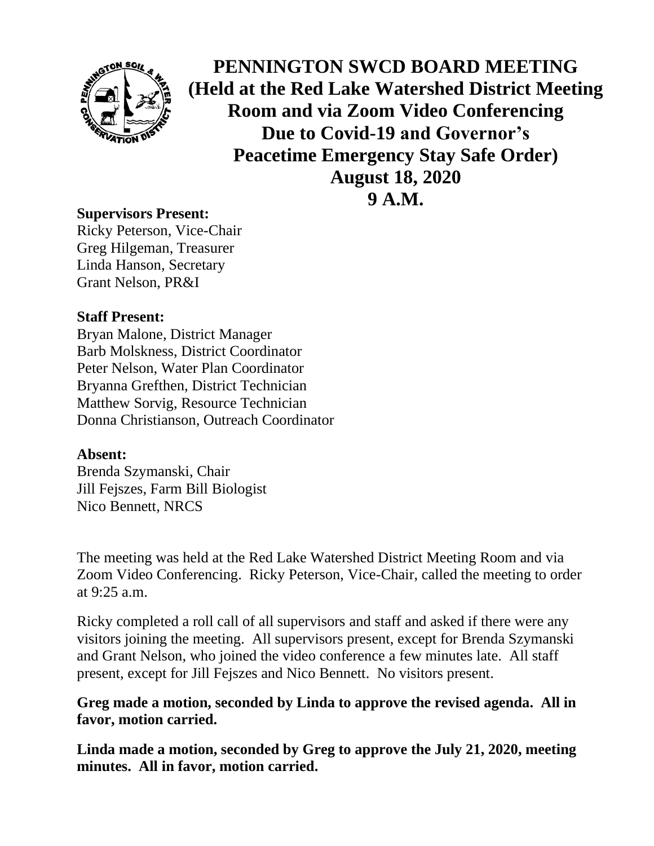

**PENNINGTON SWCD BOARD MEETING (Held at the Red Lake Watershed District Meeting Room and via Zoom Video Conferencing Due to Covid-19 and Governor's Peacetime Emergency Stay Safe Order) August 18, 2020 9 A.M.**

## **Supervisors Present:**

Ricky Peterson, Vice-Chair Greg Hilgeman, Treasurer Linda Hanson, Secretary Grant Nelson, PR&I

## **Staff Present:**

Bryan Malone, District Manager Barb Molskness, District Coordinator Peter Nelson, Water Plan Coordinator Bryanna Grefthen, District Technician Matthew Sorvig, Resource Technician Donna Christianson, Outreach Coordinator

## **Absent:**

Brenda Szymanski, Chair Jill Fejszes, Farm Bill Biologist Nico Bennett, NRCS

The meeting was held at the Red Lake Watershed District Meeting Room and via Zoom Video Conferencing. Ricky Peterson, Vice-Chair, called the meeting to order at 9:25 a.m.

Ricky completed a roll call of all supervisors and staff and asked if there were any visitors joining the meeting. All supervisors present, except for Brenda Szymanski and Grant Nelson, who joined the video conference a few minutes late. All staff present, except for Jill Fejszes and Nico Bennett. No visitors present.

## **Greg made a motion, seconded by Linda to approve the revised agenda. All in favor, motion carried.**

**Linda made a motion, seconded by Greg to approve the July 21, 2020, meeting minutes. All in favor, motion carried.**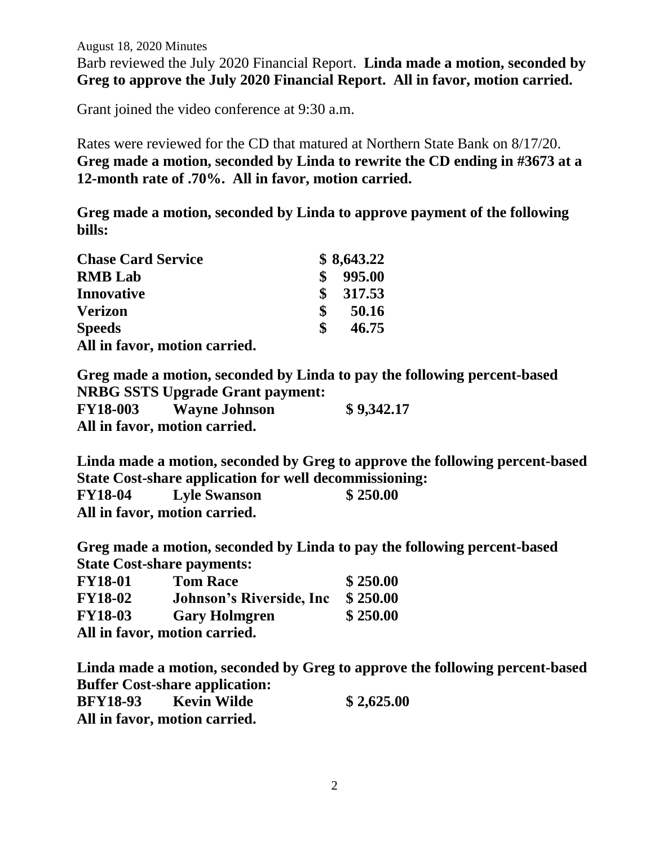August 18, 2020 Minutes

Barb reviewed the July 2020 Financial Report. **Linda made a motion, seconded by Greg to approve the July 2020 Financial Report. All in favor, motion carried.**

Grant joined the video conference at 9:30 a.m.

Rates were reviewed for the CD that matured at Northern State Bank on 8/17/20. **Greg made a motion, seconded by Linda to rewrite the CD ending in #3673 at a 12-month rate of .70%. All in favor, motion carried.** 

**Greg made a motion, seconded by Linda to approve payment of the following bills:**

| <b>Chase Card Service</b>     |              | \$8,643.22 |
|-------------------------------|--------------|------------|
| <b>RMB</b> Lab                | \$           | 995.00     |
| <b>Innovative</b>             |              | \$317.53   |
| <b>Verizon</b>                | \$           | 50.16      |
| <b>Speeds</b>                 | $\mathbf{s}$ | 46.75      |
| All in favor, motion carried. |              |            |

**Greg made a motion, seconded by Linda to pay the following percent-based NRBG SSTS Upgrade Grant payment: FY18-003 Wayne Johnson \$ 9,342.17 All in favor, motion carried.**

**Linda made a motion, seconded by Greg to approve the following percent-based State Cost-share application for well decommissioning:**

| <b>FY18-04</b> | <b>Lyle Swanson</b>           | \$250.00 |
|----------------|-------------------------------|----------|
|                | All in favor, motion carried. |          |

**Greg made a motion, seconded by Linda to pay the following percent-based State Cost-share payments:** 

| <b>FY18-01</b> | <b>Tom Race</b>                  | \$250.00 |
|----------------|----------------------------------|----------|
| <b>FY18-02</b> | <b>Johnson's Riverside, Inc.</b> | \$250.00 |
| <b>FY18-03</b> | <b>Gary Holmgren</b>             | \$250.00 |
|                | All in favor, motion carried.    |          |

**Linda made a motion, seconded by Greg to approve the following percent-based Buffer Cost-share application: BFY18-93 Kevin Wilde \$ 2,625.00 All in favor, motion carried.**